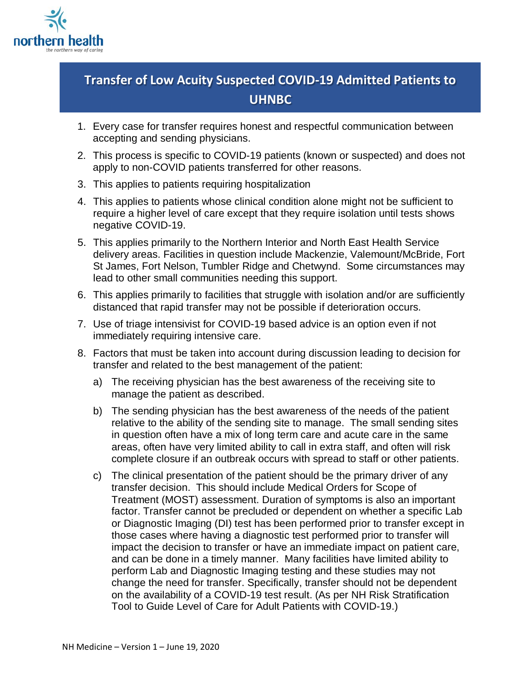

## **Transfer of Low Acuity Suspected COVID-19 Admitted Patients to UHNBC**

- 1. Every case for transfer requires honest and respectful communication between accepting and sending physicians.
- 2. This process is specific to COVID-19 patients (known or suspected) and does not apply to non-COVID patients transferred for other reasons.
- 3. This applies to patients requiring hospitalization
- 4. This applies to patients whose clinical condition alone might not be sufficient to require a higher level of care except that they require isolation until tests shows negative COVID-19.
- 5. This applies primarily to the Northern Interior and North East Health Service delivery areas. Facilities in question include Mackenzie, Valemount/McBride, Fort St James, Fort Nelson, Tumbler Ridge and Chetwynd. Some circumstances may lead to other small communities needing this support.
- 6. This applies primarily to facilities that struggle with isolation and/or are sufficiently distanced that rapid transfer may not be possible if deterioration occurs.
- 7. Use of triage intensivist for COVID-19 based advice is an option even if not immediately requiring intensive care.
- 8. Factors that must be taken into account during discussion leading to decision for transfer and related to the best management of the patient:
	- a) The receiving physician has the best awareness of the receiving site to manage the patient as described.
	- b) The sending physician has the best awareness of the needs of the patient relative to the ability of the sending site to manage. The small sending sites in question often have a mix of long term care and acute care in the same areas, often have very limited ability to call in extra staff, and often will risk complete closure if an outbreak occurs with spread to staff or other patients.
	- c) The clinical presentation of the patient should be the primary driver of any transfer decision. This should include Medical Orders for Scope of Treatment (MOST) assessment. Duration of symptoms is also an important factor. Transfer cannot be precluded or dependent on whether a specific Lab or Diagnostic Imaging (DI) test has been performed prior to transfer except in those cases where having a diagnostic test performed prior to transfer will impact the decision to transfer or have an immediate impact on patient care, and can be done in a timely manner. Many facilities have limited ability to perform Lab and Diagnostic Imaging testing and these studies may not change the need for transfer. Specifically, transfer should not be dependent on the availability of a COVID-19 test result. (As per NH Risk Stratification Tool to Guide Level of Care for Adult Patients with COVID-19.)